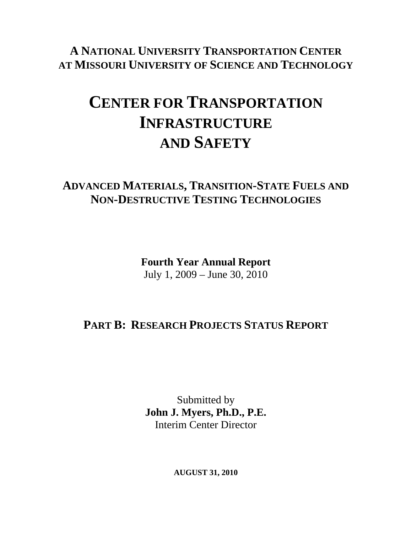**A NATIONAL UNIVERSITY TRANSPORTATION CENTER AT MISSOURI UNIVERSITY OF SCIENCE AND TECHNOLOGY**

## **CENTER FOR TRANSPORTATION INFRASTRUCTURE AND SAFETY**

## **ADVANCED MATERIALS, TRANSITION-STATE FUELS AND NON-DESTRUCTIVE TESTING TECHNOLOGIES**

**Fourth Year Annual Report**  July 1, 2009 – June 30, 2010

## **PART B: RESEARCH PROJECTS STATUS REPORT**

Submitted by **John J. Myers, Ph.D., P.E.**  Interim Center Director

**AUGUST 31, 2010**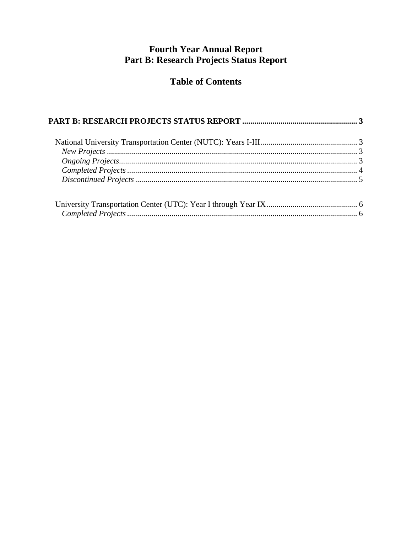# Fourth Year Annual Report<br>Part B: Research Projects Status Report

#### **Table of Contents**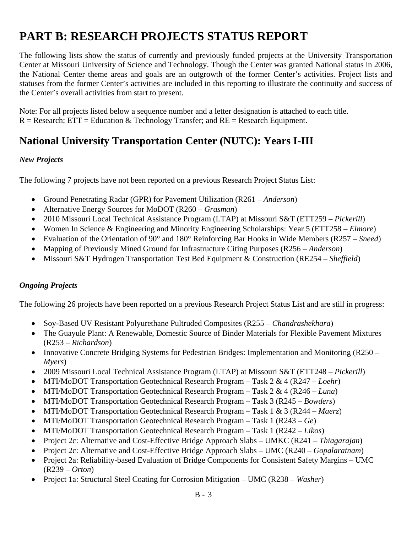## <span id="page-2-0"></span>**PART B: RESEARCH PROJECTS STATUS REPORT**

The following lists show the status of currently and previously funded projects at the University Transportation Center at Missouri University of Science and Technology. Though the Center was granted National status in 2006, the National Center theme areas and goals are an outgrowth of the former Center's activities. Project lists and statuses from the former Center's activities are included in this reporting to illustrate the continuity and success of the Center's overall activities from start to present.

Note: For all projects listed below a sequence number and a letter designation is attached to each title.  $R =$  Research;  $ETT =$  Education & Technology Transfer; and  $RE =$  Research Equipment.

### **National University Transportation Center (NUTC): Years I-III**

#### *New Projects*

The following 7 projects have not been reported on a previous Research Project Status List:

- Ground Penetrating Radar (GPR) for Pavement Utilization (R261 *Anderson*)
- Alternative Energy Sources for MoDOT (R260 *Grasman*)
- 2010 Missouri Local Technical Assistance Program (LTAP) at Missouri S&T (ETT259 *Pickerill*)
- Women In Science & Engineering and Minority Engineering Scholarships: Year 5 (ETT258 *Elmore*)
- Evaluation of the Orientation of 90° and 180° Reinforcing Bar Hooks in Wide Members (R257 *Sneed*)
- Mapping of Previously Mined Ground for Infrastructure Citing Purposes (R256 *Anderson*)
- Missouri S&T Hydrogen Transportation Test Bed Equipment & Construction (RE254 *Sheffield*)

#### *Ongoing Projects*

The following 26 projects have been reported on a previous Research Project Status List and are still in progress:

- Soy-Based UV Resistant Polyurethane Pultruded Composites (R255 *Chandrashekhara*)
- The Guayule Plant: A Renewable, Domestic Source of Binder Materials for Flexible Pavement Mixtures (R253 – *Richardson*)
- Innovative Concrete Bridging Systems for Pedestrian Bridges: Implementation and Monitoring (R250 *Myers*)
- 2009 Missouri Local Technical Assistance Program (LTAP) at Missouri S&T (ETT248 *Pickerill*)
- MTI/MoDOT Transportation Geotechnical Research Program Task 2 & 4 (R247 *Loehr*)
- MTI/MoDOT Transportation Geotechnical Research Program Task 2 & 4 (R246 *Luna*)
- MTI/MoDOT Transportation Geotechnical Research Program Task 3 (R245 *Bowders*)
- MTI/MoDOT Transportation Geotechnical Research Program Task 1 & 3 (R244 *Maerz*)
- MTI/MoDOT Transportation Geotechnical Research Program Task 1 (R243 *Ge*)
- MTI/MoDOT Transportation Geotechnical Research Program Task 1 (R242 *Likos*)
- Project 2c: Alternative and Cost-Effective Bridge Approach Slabs UMKC (R241 *Thiagarajan*)
- Project 2c: Alternative and Cost-Effective Bridge Approach Slabs UMC (R240 *Gopalaratnam*)
- Project 2a: Reliability-based Evaluation of Bridge Components for Consistent Safety Margins UMC (R239 – *Orton*)
- Project 1a: Structural Steel Coating for Corrosion Mitigation UMC (R238 *Washer*)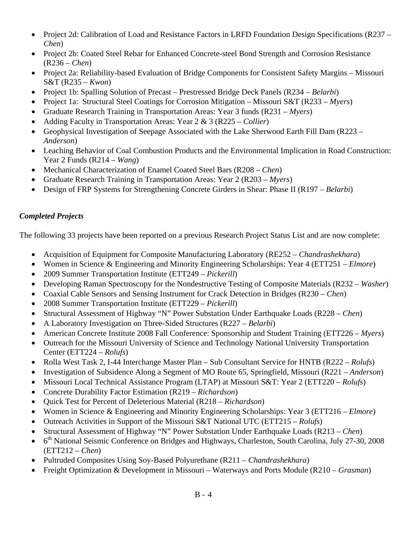- <span id="page-3-0"></span>• Project 2d: Calibration of Load and Resistance Factors in LRFD Foundation Design Specifications (R237 – *Chen*)
- Project 2b: Coated Steel Rebar for Enhanced Concrete-steel Bond Strength and Corrosion Resistance (R236 – *Chen*)
- Project 2a: Reliability-based Evaluation of Bridge Components for Consistent Safety Margins Missouri S&T (R235 – *Kwon*)
- Project 1b: Spalling Solution of Precast Prestressed Bridge Deck Panels (R234 *Belarbi*)
- Project 1a: Structural Steel Coatings for Corrosion Mitigation Missouri S&T (R233 *Myers*)
- Graduate Research Training in Transportation Areas: Year 3 funds (R231 *Myers*)
- Adding Faculty in Transportation Areas: Year 2 & 3 (R225 *Collier*)
- Geophysical Investigation of Seepage Associated with the Lake Sherwood Earth Fill Dam (R223 *Anderson*)
- Leaching Behavior of Coal Combustion Products and the Environmental Implication in Road Construction: Year 2 Funds (R214 – *Wang*)
- Mechanical Characterization of Enamel Coated Steel Bars (R208 *Chen*)
- Graduate Research Training in Transportation Areas: Year 2 (R203 *Myers*)
- Design of FRP Systems for Strengthening Concrete Girders in Shear: Phase II (R197 *Belarbi*)

#### *Completed Projects*

The following 33 projects have been reported on a previous Research Project Status List and are now complete:

- Acquisition of Equipment for Composite Manufacturing Laboratory (RE252 *Chandrashekhara*)
- Women in Science & Engineering and Minority Engineering Scholarships: Year 4 (ETT251 *Elmore*)
- 2009 Summer Transportation Institute (ETT249 *Pickerill*)
- Developing Raman Spectroscopy for the Nondestructive Testing of Composite Materials (R232 *Washer*)
- Coaxial Cable Sensors and Sensing Instrument for Crack Detection in Bridges (R230 *Chen*)
- 2008 Summer Transportation Institute (ETT229 *Pickerill*)
- Structural Assessment of Highway "N" Power Substation Under Earthquake Loads (R228 *Chen*)
- A Laboratory Investigation on Three-Sided Structures (R227 *Belarbi*)
- American Concrete Institute 2008 Fall Conference: Sponsorship and Student Training (ETT226 *Myers*)
- Outreach for the Missouri University of Science and Technology National University Transportation Center (ETT224 – *Rolufs*)
- Rolla West Task 2, I-44 Interchange Master Plan Sub Consultant Service for HNTB (R222 *Rolufs*)
- Investigation of Subsidence Along a Segment of MO Route 65, Springfield, Missouri (R221 *Anderson*)
- Missouri Local Technical Assistance Program (LTAP) at Missouri S&T: Year 2 (ETT220 *Rolufs*)
- Concrete Durability Factor Estimation (R219 *Richardson*)
- Quick Test for Percent of Deleterious Material (R218 *Richardson*)
- Women in Science & Engineering and Minority Engineering Scholarships: Year 3 (ETT216 *Elmore*)
- Outreach Activities in Support of the Missouri S&T National UTC (ETT215 *Rolufs*)
- Structural Assessment of Highway "N" Power Substation Under Earthquake Loads (R213 *Chen*)
- 6<sup>th</sup> National Seismic Conference on Bridges and Highways, Charleston, South Carolina, July 27-30, 2008 (ETT212 – *Chen*)
- Pultruded Composites Using Soy-Based Polyurethane (R211 *Chandrashekhara*)
- Freight Optimization & Development in Missouri Waterways and Ports Module (R210 *Grasman*)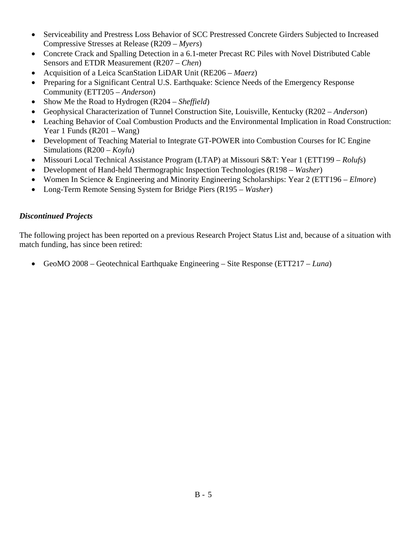- <span id="page-4-0"></span>• Serviceability and Prestress Loss Behavior of SCC Prestressed Concrete Girders Subjected to Increased Compressive Stresses at Release (R209 – *Myers*)
- Concrete Crack and Spalling Detection in a 6.1-meter Precast RC Piles with Novel Distributed Cable Sensors and ETDR Measurement (R207 – *Chen*)
- Acquisition of a Leica ScanStation LiDAR Unit (RE206 *Maerz*)
- Preparing for a Significant Central U.S. Earthquake: Science Needs of the Emergency Response Community (ETT205 – *Anderson*)
- Show Me the Road to Hydrogen (R204 *Sheffield*)
- Geophysical Characterization of Tunnel Construction Site, Louisville, Kentucky (R202 *Anderson*)
- Leaching Behavior of Coal Combustion Products and the Environmental Implication in Road Construction: Year 1 Funds (R201 – Wang)
- Development of Teaching Material to Integrate GT-POWER into Combustion Courses for IC Engine Simulations (R200 – *Koylu*)
- Missouri Local Technical Assistance Program (LTAP) at Missouri S&T: Year 1 (ETT199 *Rolufs*)
- Development of Hand-held Thermographic Inspection Technologies (R198 *Washer*)
- Women In Science & Engineering and Minority Engineering Scholarships: Year 2 (ETT196 *Elmore*)
- Long-Term Remote Sensing System for Bridge Piers (R195 *Washer*)

#### *Discontinued Projects*

The following project has been reported on a previous Research Project Status List and, because of a situation with match funding, has since been retired:

• GeoMO 2008 – Geotechnical Earthquake Engineering – Site Response (ETT217 – *Luna*)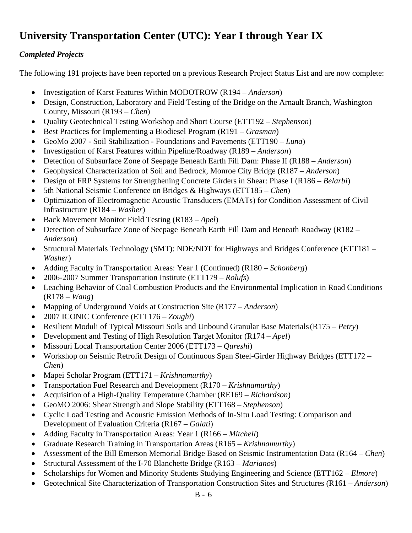## <span id="page-5-0"></span>**University Transportation Center (UTC): Year I through Year IX**

#### *Completed Projects*

The following 191 projects have been reported on a previous Research Project Status List and are now complete:

- Investigation of Karst Features Within MODOTROW (R194 *Anderson*)
- Design, Construction, Laboratory and Field Testing of the Bridge on the Arnault Branch, Washington County, Missouri (R193 – *Chen*)
- Quality Geotechnical Testing Workshop and Short Course (ETT192 *Stephenson*)
- Best Practices for Implementing a Biodiesel Program (R191 *Grasman*)
- GeoMo 2007 Soil Stabilization Foundations and Pavements (ETT190 *Luna*)
- Investigation of Karst Features within Pipeline/Roadway (R189 *Anderson*)
- Detection of Subsurface Zone of Seepage Beneath Earth Fill Dam: Phase II (R188 *Anderson*)
- Geophysical Characterization of Soil and Bedrock, Monroe City Bridge (R187 *Anderson*)
- Design of FRP Systems for Strengthening Concrete Girders in Shear: Phase I (R186 *Belarbi*)
- 5th National Seismic Conference on Bridges & Highways (ETT185 *Chen*)
- Optimization of Electromagnetic Acoustic Transducers (EMATs) for Condition Assessment of Civil Infrastructure (R184 – *Washer*)
- Back Movement Monitor Field Testing (R183 *Apel*)
- Detection of Subsurface Zone of Seepage Beneath Earth Fill Dam and Beneath Roadway (R182 *Anderson*)
- Structural Materials Technology (SMT): NDE/NDT for Highways and Bridges Conference (ETT181 *Washer*)
- Adding Faculty in Transportation Areas: Year 1 (Continued) (R180 *Schonberg*)
- 2006-2007 Summer Transportation Institute (ETT179 *Rolufs*)
- Leaching Behavior of Coal Combustion Products and the Environmental Implication in Road Conditions (R178 – *Wang*)
- Mapping of Underground Voids at Construction Site (R177 *Anderson*)
- 2007 ICONIC Conference (ETT176 *Zoughi*)
- Resilient Moduli of Typical Missouri Soils and Unbound Granular Base Materials (R175 *Petry*)
- Development and Testing of High Resolution Target Monitor (R174 *Apel*)
- Missouri Local Transportation Center 2006 (ETT173 *Qureshi*)
- Workshop on Seismic Retrofit Design of Continuous Span Steel-Girder Highway Bridges (ETT172 *Chen*)
- Mapei Scholar Program (ETT171 *Krishnamurthy*)
- Transportation Fuel Research and Development (R170 *Krishnamurthy*)
- Acquisition of a High-Quality Temperature Chamber (RE169 *Richardson*)
- GeoMO 2006: Shear Strength and Slope Stability (ETT168 *Stephenson*)
- Cyclic Load Testing and Acoustic Emission Methods of In-Situ Load Testing: Comparison and Development of Evaluation Criteria (R167 – *Galati*)
- Adding Faculty in Transportation Areas: Year 1 (R166 *Mitchell*)
- Graduate Research Training in Transportation Areas (R165 *Krishnamurthy*)
- Assessment of the Bill Emerson Memorial Bridge Based on Seismic Instrumentation Data (R164 *Chen*)
- Structural Assessment of the I-70 Blanchette Bridge (R163 *Marianos*)
- Scholarships for Women and Minority Students Studying Engineering and Science (ETT162 *Elmore*)
- Geotechnical Site Characterization of Transportation Construction Sites and Structures (R161 *Anderson*)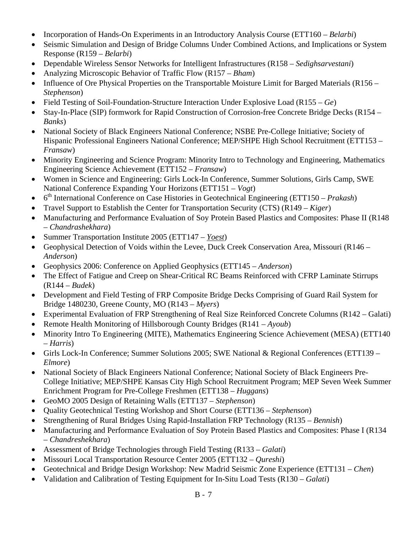- Incorporation of Hands-On Experiments in an Introductory Analysis Course (ETT160 *Belarbi*)
- Seismic Simulation and Design of Bridge Columns Under Combined Actions, and Implications or System Response (R159 – *Belarbi*)
- Dependable Wireless Sensor Networks for Intelligent Infrastructures (R158 *Sedighsarvestani*)
- Analyzing Microscopic Behavior of Traffic Flow (R157 *Bham*)
- Influence of Ore Physical Properties on the Transportable Moisture Limit for Barged Materials (R156 *Stephenson*)
- Field Testing of Soil-Foundation-Structure Interaction Under Explosive Load (R155 *Ge*)
- Stay-In-Place (SIP) formwork for Rapid Construction of Corrosion-free Concrete Bridge Decks (R154 *Banks*)
- National Society of Black Engineers National Conference; NSBE Pre-College Initiative; Society of Hispanic Professional Engineers National Conference; MEP/SHPE High School Recruitment (ETT153 – *Fransaw*)
- Minority Engineering and Science Program: Minority Intro to Technology and Engineering, Mathematics Engineering Science Achievement (ETT152 – *Fransaw*)
- Women in Science and Engineering: Girls Lock-In Conference, Summer Solutions, Girls Camp, SWE National Conference Expanding Your Horizons (ETT151 – *Vogt*)
- 6<sup>th</sup> International Conference on Case Histories in Geotechnical Engineering (ETT150 *Prakash*)
- Travel Support to Establish the Center for Transportation Security (CTS) (R149 *Kiger*)
- Manufacturing and Performance Evaluation of Soy Protein Based Plastics and Composites: Phase II (R148) – *Chandrashekhara*)
- Summer Transportation Institute 2005 (ETT147 *Yoest*)
- Geophysical Detection of Voids within the Levee, Duck Creek Conservation Area, Missouri (R146 *Anderson*)
- Geophysics 2006: Conference on Applied Geophysics (ETT145 *Anderson*)
- The Effect of Fatigue and Creep on Shear-Critical RC Beams Reinforced with CFRP Laminate Stirrups (R144 – *Budek*)
- Development and Field Testing of FRP Composite Bridge Decks Comprising of Guard Rail System for Bridge 1480230, Greene County, MO (R143 – *Myers*)
- Experimental Evaluation of FRP Strengthening of Real Size Reinforced Concrete Columns (R142 Galati)
- Remote Health Monitoring of Hillsborough County Bridges (R141 *Ayoub*)
- Minority Intro To Engineering (MITE), Mathematics Engineering Science Achievement (MESA) (ETT140 – *Harris*)
- Girls Lock-In Conference; Summer Solutions 2005; SWE National & Regional Conferences (ETT139 *Elmore*)
- National Society of Black Engineers National Conference; National Society of Black Engineers Pre-College Initiative; MEP/SHPE Kansas City High School Recruitment Program; MEP Seven Week Summer Enrichment Program for Pre-College Freshmen (ETT138 – *Huggans*)
- GeoMO 2005 Design of Retaining Walls (ETT137 *Stephenson*)
- Quality Geotechnical Testing Workshop and Short Course (ETT136 *Stephenson*)
- Strengthening of Rural Bridges Using Rapid-Installation FRP Technology (R135 *Bennish*)
- Manufacturing and Performance Evaluation of Soy Protein Based Plastics and Composites: Phase I (R134) – *Chandreshekhara*)
- Assessment of Bridge Technologies through Field Testing (R133 *Galati*)
- Missouri Local Transportation Resource Center 2005 (ETT132 *Qureshi*)
- Geotechnical and Bridge Design Workshop: New Madrid Seismic Zone Experience (ETT131 *Chen*)
- Validation and Calibration of Testing Equipment for In-Situ Load Tests (R130 *Galati*)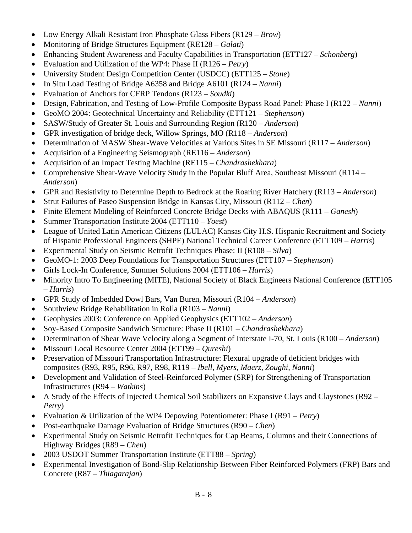- Low Energy Alkali Resistant Iron Phosphate Glass Fibers (R129 *Brow*)
- Monitoring of Bridge Structures Equipment (RE128 *Galati*)
- Enhancing Student Awareness and Faculty Capabilities in Transportation (ETT127 *Schonberg*)
- Evaluation and Utilization of the WP4: Phase II (R126 *Petry*)
- University Student Design Competition Center (USDCC) (ETT125 *Stone*)
- In Situ Load Testing of Bridge A6358 and Bridge A6101 (R124 *Nanni*)
- Evaluation of Anchors for CFRP Tendons (R123 *Soudki*)
- Design, Fabrication, and Testing of Low-Profile Composite Bypass Road Panel: Phase I (R122 *Nanni*)
- GeoMO 2004: Geotechnical Uncertainty and Reliability (ETT121 *Stephenson*)
- SASW/Study of Greater St. Louis and Surrounding Region (R120 *Anderson*)
- GPR investigation of bridge deck, Willow Springs, MO (R118 *Anderson*)
- Determination of MASW Shear-Wave Velocities at Various Sites in SE Missouri (R117 *Anderson*)
- Acquisition of a Engineering Seismograph (RE116 *Anderson*)
- Acquisition of an Impact Testing Machine (RE115 *Chandrashekhara*)
- Comprehensive Shear-Wave Velocity Study in the Popular Bluff Area, Southeast Missouri (R114 *Anderson*)
- GPR and Resistivity to Determine Depth to Bedrock at the Roaring River Hatchery (R113 *Anderson*)
- Strut Failures of Paseo Suspension Bridge in Kansas City, Missouri (R112 *Chen*)
- Finite Element Modeling of Reinforced Concrete Bridge Decks with ABAQUS (R111 *Ganesh*)
- Summer Transportation Institute 2004 (ETT110 *Yoest*)
- League of United Latin American Citizens (LULAC) Kansas City H.S. Hispanic Recruitment and Society of Hispanic Professional Engineers (SHPE) National Technical Career Conference (ETT109 – *Harris*)
- Experimental Study on Seismic Retrofit Techniques Phase: II (R108 *Silva*)
- GeoMO-1: 2003 Deep Foundations for Transportation Structures (ETT107 *Stephenson*)
- Girls Lock-In Conference, Summer Solutions 2004 (ETT106 *Harris*)
- Minority Intro To Engineering (MITE), National Society of Black Engineers National Conference (ETT105 – *Harris*)
- GPR Study of Imbedded Dowl Bars, Van Buren, Missouri (R104 *Anderson*)
- Southview Bridge Rehabilitation in Rolla (R103 *Nanni*)
- Geophysics 2003: Conference on Applied Geophysics (ETT102 *Anderson*)
- Soy-Based Composite Sandwich Structure: Phase II (R101 *Chandrashekhara*)
- Determination of Shear Wave Velocity along a Segment of Interstate I-70, St. Louis (R100 *Anderson*)
- Missouri Local Resource Center 2004 (ETT99 *Qureshi*)
- Preservation of Missouri Transportation Infrastructure: Flexural upgrade of deficient bridges with composites (R93, R95, R96, R97, R98, R119 – *Ibell, Myers, Maerz, Zoughi, Nanni*)
- Development and Validation of Steel-Reinforced Polymer (SRP) for Strengthening of Transportation Infrastructures (R94 – *Watkins*)
- A Study of the Effects of Injected Chemical Soil Stabilizers on Expansive Clays and Claystones (R92 *Petry*)
- Evaluation & Utilization of the WP4 Depowing Potentiometer: Phase I (R91 *Petry*)
- Post-earthquake Damage Evaluation of Bridge Structures (R90 *Chen*)
- Experimental Study on Seismic Retrofit Techniques for Cap Beams, Columns and their Connections of Highway Bridges (R89 – *Chen*)
- 2003 USDOT Summer Transportation Institute (ETT88 *Spring*)
- Experimental Investigation of Bond-Slip Relationship Between Fiber Reinforced Polymers (FRP) Bars and Concrete (R87 – *Thiagarajan*)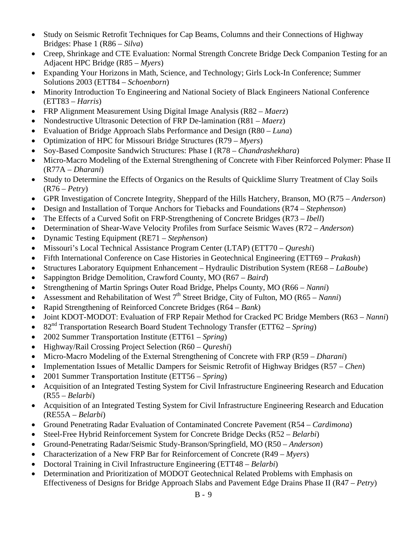- Study on Seismic Retrofit Techniques for Cap Beams, Columns and their Connections of Highway Bridges: Phase 1 (R86 – *Silva*)
- Creep, Shrinkage and CTE Evaluation: Normal Strength Concrete Bridge Deck Companion Testing for an Adjacent HPC Bridge (R85 – *Myers*)
- Expanding Your Horizons in Math, Science, and Technology; Girls Lock-In Conference; Summer Solutions 2003 (ETT84 – *Schoenborn*)
- Minority Introduction To Engineering and National Society of Black Engineers National Conference (ETT83 – *Harris*)
- FRP Alignment Measurement Using Digital Image Analysis (R82 *Maerz*)
- Nondestructive Ultrasonic Detection of FRP De-lamination (R81 *Maerz*)
- Evaluation of Bridge Approach Slabs Performance and Design (R80 *Luna*)
- Optimization of HPC for Missouri Bridge Structures (R79 *Myers*)
- Soy-Based Composite Sandwich Structures: Phase I (R78 *Chandrashekhara*)
- Micro-Macro Modeling of the External Strengthening of Concrete with Fiber Reinforced Polymer: Phase II (R77A – *Dharani*)
- Study to Determine the Effects of Organics on the Results of Quicklime Slurry Treatment of Clay Soils (R76 – *Petry*)
- GPR Investigation of Concrete Integrity, Sheppard of the Hills Hatchery, Branson, MO (R75 *Anderson*)
- Design and Installation of Torque Anchors for Tiebacks and Foundations (R74 *Stephenson*)
- The Effects of a Curved Sofit on FRP-Strengthening of Concrete Bridges (R73 *Ibell*)
- Determination of Shear-Wave Velocity Profiles from Surface Seismic Waves (R72 *Anderson*)
- Dynamic Testing Equipment (RE71 *Stephenson*)
- Missouri's Local Technical Assistance Program Center (LTAP) (ETT70 *Qureshi*)
- Fifth International Conference on Case Histories in Geotechnical Engineering (ETT69 *Prakash*)
- Structures Laboratory Equipment Enhancement Hydraulic Distribution System (RE68 *LaBoube*)
- Sappington Bridge Demolition, Crawford County, MO (R67 *Baird*)
- Strengthening of Martin Springs Outer Road Bridge, Phelps County, MO (R66 *Nanni*)
- Assessment and Rehabilitation of West 7<sup>th</sup> Street Bridge, City of Fulton, MO (R65 *Nanni*)
- Rapid Strengthening of Reinforced Concrete Bridges (R64 *Bank*)
- Joint KDOT-MODOT: Evaluation of FRP Repair Method for Cracked PC Bridge Members (R63 *Nanni*)
- 82nd Transportation Research Board Student Technology Transfer (ETT62 *Spring*)
- 2002 Summer Transportation Institute (ETT61 *Spring*)
- Highway/Rail Crossing Project Selection (R60 *Qureshi*)
- Micro-Macro Modeling of the External Strengthening of Concrete with FRP (R59 *Dharani*)
- Implementation Issues of Metallic Dampers for Seismic Retrofit of Highway Bridges (R57 *Chen*)
- 2001 Summer Transportation Institute (ETT56 *Spring*)
- Acquisition of an Integrated Testing System for Civil Infrastructure Engineering Research and Education (R55 – *Belarbi*)
- Acquisition of an Integrated Testing System for Civil Infrastructure Engineering Research and Education (RE55A – *Belarbi*)
- Ground Penetrating Radar Evaluation of Contaminated Concrete Pavement (R54 *Cardimona*)
- Steel-Free Hybrid Reinforcement System for Concrete Bridge Decks (R52 *Belarbi*)
- Ground-Penetrating Radar/Seismic Study-Branson/Springfield, MO (R50 *Anderson*)
- Characterization of a New FRP Bar for Reinforcement of Concrete (R49 *Myers*)
- Doctoral Training in Civil Infrastructure Engineering (ETT48 *Belarbi*)
- Determination and Prioritization of MODOT Geotechnical Related Problems with Emphasis on Effectiveness of Designs for Bridge Approach Slabs and Pavement Edge Drains Phase II (R47 – *Petry*)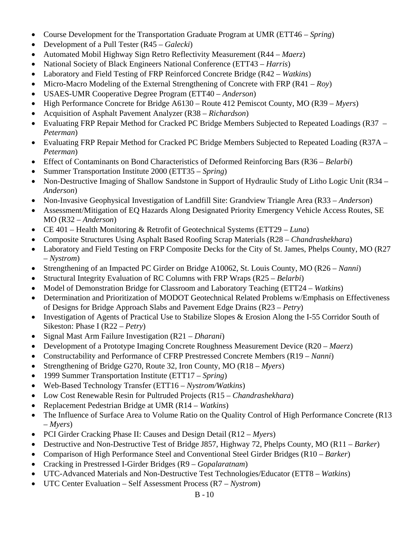- Course Development for the Transportation Graduate Program at UMR (ETT46 *Spring*)
- Development of a Pull Tester (R45 *Galecki*)
- Automated Mobil Highway Sign Retro Reflectivity Measurement (R44 *Maerz*)
- National Society of Black Engineers National Conference (ETT43 *Harris*)
- Laboratory and Field Testing of FRP Reinforced Concrete Bridge (R42 *Watkins*)
- Micro-Macro Modeling of the External Strengthening of Concrete with FRP (R41 *Roy*)
- USAES-UMR Cooperative Degree Program (ETT40 *Anderson*)
- High Performance Concrete for Bridge A6130 Route 412 Pemiscot County, MO (R39 *Myers*)
- Acquisition of Asphalt Pavement Analyzer (R38 *Richardson*)
- Evaluating FRP Repair Method for Cracked PC Bridge Members Subjected to Repeated Loadings (R37 *Peterman*)
- Evaluating FRP Repair Method for Cracked PC Bridge Members Subjected to Repeated Loading (R37A *Peterman*)
- Effect of Contaminants on Bond Characteristics of Deformed Reinforcing Bars (R36 *Belarbi*)
- Summer Transportation Institute 2000 (ETT35 *Spring*)
- Non-Destructive Imaging of Shallow Sandstone in Support of Hydraulic Study of Litho Logic Unit (R34 *Anderson*)
- Non-Invasive Geophysical Investigation of Landfill Site: Grandview Triangle Area (R33 *Anderson*)
- Assessment/Mitigation of EQ Hazards Along Designated Priority Emergency Vehicle Access Routes, SE MO (R32 – *Anderson*)
- CE 401 Health Monitoring & Retrofit of Geotechnical Systems (ETT29 *Luna*)
- Composite Structures Using Asphalt Based Roofing Scrap Materials (R28 *Chandrashekhara*)
- Laboratory and Field Testing on FRP Composite Decks for the City of St. James, Phelps County, MO (R27) – *Nystrom*)
- Strengthening of an Impacted PC Girder on Bridge A10062, St. Louis County, MO (R26 *Nanni*)
- Structural Integrity Evaluation of RC Columns with FRP Wraps (R25 *Belarbi*)
- Model of Demonstration Bridge for Classroom and Laboratory Teaching (ETT24 *Watkins*)
- Determination and Prioritization of MODOT Geotechnical Related Problems w/Emphasis on Effectiveness of Designs for Bridge Approach Slabs and Pavement Edge Drains (R23 – *Petry*)
- Investigation of Agents of Practical Use to Stabilize Slopes & Erosion Along the I-55 Corridor South of Sikeston: Phase I (R22 – *Petry*)
- Signal Mast Arm Failure Investigation (R21 *Dharani*)
- Development of a Prototype Imaging Concrete Roughness Measurement Device (R20 *Maerz*)
- Constructability and Performance of CFRP Prestressed Concrete Members (R19 *Nanni*)
- Strengthening of Bridge G270, Route 32, Iron County, MO (R18 – *Myers*)
- 1999 Summer Transportation Institute (ETT17 *Spring*)
- Web-Based Technology Transfer (ETT16 *Nystrom/Watkins*)
- Low Cost Renewable Resin for Pultruded Projects (R15 *Chandrashekhara*)
- Replacement Pedestrian Bridge at UMR (R14 *Watkins*)
- The Influence of Surface Area to Volume Ratio on the Quality Control of High Performance Concrete (R13) – *Myers*)
- PCI Girder Cracking Phase II: Causes and Design Detail (R12 *Myers*)
- Destructive and Non-Destructive Test of Bridge J857, Highway 72, Phelps County, MO (R11 *Barker*)
- Comparison of High Performance Steel and Conventional Steel Girder Bridges (R10 *Barker*)
- Cracking in Prestressed I-Girder Bridges (R9 *Gopalaratnam*)
- UTC-Advanced Materials and Non-Destructive Test Technologies/Educator (ETT8 *Watkins*)
- UTC Center Evaluation Self Assessment Process (R7 *Nystrom*)